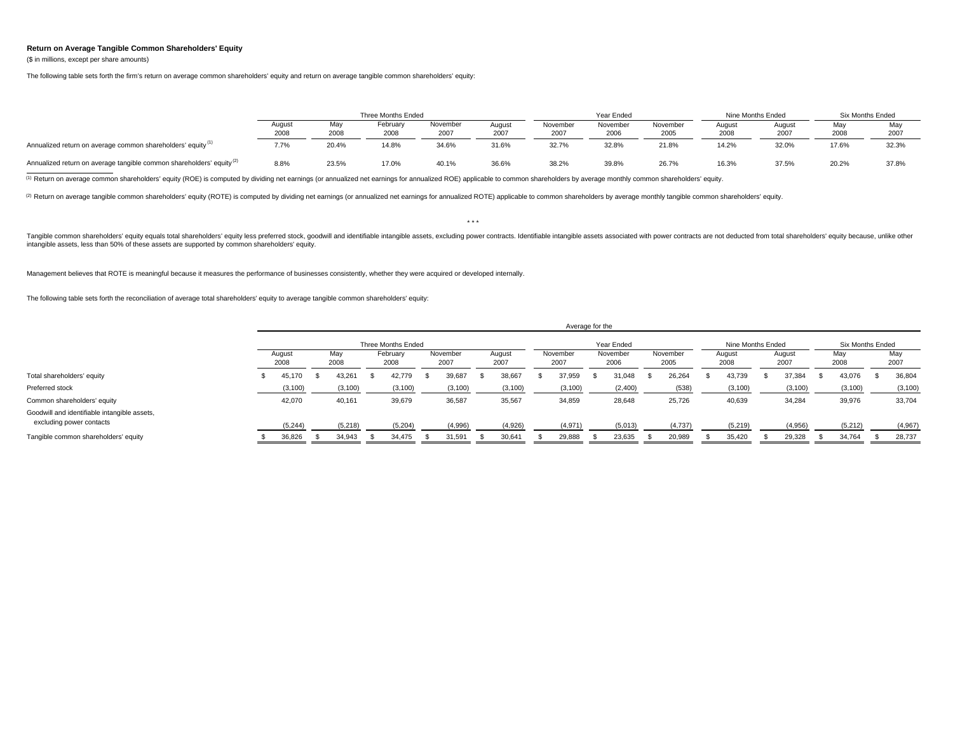## **Return on Average Tangible Common Shareholders' Equity**

(\$ in millions, except per share amounts)

The following table sets forth the firm's return on average common shareholders' equity and return on average tangible common shareholders' equity:

|                                                                                  |                |             | Three Months Ended |                  |                |                  | Year Ended       |                  | Nine Months Ended |                | Six Months Ended |             |
|----------------------------------------------------------------------------------|----------------|-------------|--------------------|------------------|----------------|------------------|------------------|------------------|-------------------|----------------|------------------|-------------|
|                                                                                  | August<br>2008 | May<br>2008 | February<br>2008   | November<br>2007 | August<br>2007 | November<br>2007 | November<br>2006 | November<br>2005 | Auaust<br>2008    | August<br>2007 | Mav<br>2008      | Mav<br>2007 |
| Annualized return on average common shareholders' equity <sup>(1)</sup>          | 7.7%           | 20.4%       | 14.8%              | 34.6%            | 31.6%          | 32.7%            | 32.8%            | 21.8%            | 14.2%             | 32.0%          | 17.6%            | 32.3%       |
| Annualized return on average tangible common shareholders' equity <sup>(2)</sup> | 8.8%           | 23.5%       | 17.0%              | 40.1%            | 36.6%          | 38.2%            | 39.8%            | 26.7%            | 16.3%             | 37.5%          | 20.2%            | 37.8%       |

<sup>(1)</sup> Return on average common shareholders' equity (ROE) is computed by dividing net earnings (or annualized net earnings for annualized ROE) applicable to common shareholders by average monthly common shareholders' equit

(2) Return on average tangible common shareholders' equity (ROTE) is computed by dividing net earnings (or annualized net earnings for annualized ROTE) applicable to common shareholders by average monthly tangible common s

\* \* \*

Tangible common shareholders' equity equals total shareholders' equity less preferred stock, goodwill and identifiable intangible assets, excluding power contracts. Identifiable intangible assets associated with power cont intangible assets, less than 50% of these assets are supported by common shareholders' equity.

Management believes that ROTE is meaningful because it measures the performance of businesses consistently, whether they were acquired or developed internally.

The following table sets forth the reconciliation of average total shareholders' equity to average tangible common shareholders' equity:

|                                                                          |                    |  |             |  |                  |                  |            |                |  | Average for the  |  |                  |                   |                  |  |                |                  |                |  |             |  |             |
|--------------------------------------------------------------------------|--------------------|--|-------------|--|------------------|------------------|------------|----------------|--|------------------|--|------------------|-------------------|------------------|--|----------------|------------------|----------------|--|-------------|--|-------------|
|                                                                          | Three Months Ended |  |             |  |                  |                  | Year Ended |                |  |                  |  |                  | Nine Months Ended |                  |  |                | Six Months Ended |                |  |             |  |             |
|                                                                          | August<br>2008     |  | May<br>2008 |  | February<br>2008 | November<br>2007 |            | August<br>2007 |  | November<br>2007 |  | November<br>2006 |                   | November<br>2005 |  | August<br>2008 |                  | August<br>2007 |  | May<br>2008 |  | May<br>2007 |
| Total shareholders' equity                                               | 45,170             |  | 43.261      |  | 42,779           | 39,687           |            | 38,667         |  | 37,959           |  | 31.048           |                   | 26,264           |  | 43,739         |                  | 37,384         |  | 43,076      |  | 36,804      |
| Preferred stock                                                          | (3, 100)           |  | (3, 100)    |  | (3, 100)         | (3, 100)         |            | (3, 100)       |  | (3, 100)         |  | (2,400)          |                   | (538)            |  | (3, 100)       |                  | (3, 100)       |  | (3, 100)    |  | (3, 100)    |
| Common shareholders' equity                                              | 42,070             |  | 40,161      |  | 39,679           | 36,587           |            | 35,567         |  | 34,859           |  | 28,648           |                   | 25,726           |  | 40,639         |                  | 34,284         |  | 39,976      |  | 33,704      |
| Goodwill and identifiable intangible assets,<br>excluding power contacts | (5, 244)           |  | (5, 218)    |  | (5,204)          | (4,996)          |            | (4,926)        |  | (4,971)          |  | (5,013)          |                   | (4,737)          |  | (5, 219)       |                  | (4,956)        |  | (5,212)     |  | (4,967)     |
| Tangible common shareholders' equity                                     | 36,826             |  | 34,943      |  | 34,475           | 31,591           |            | 30,641         |  | 29,888           |  | 23,635           |                   | 20,989           |  | 35,420         |                  | 29,328         |  | 34,764      |  | 28,737      |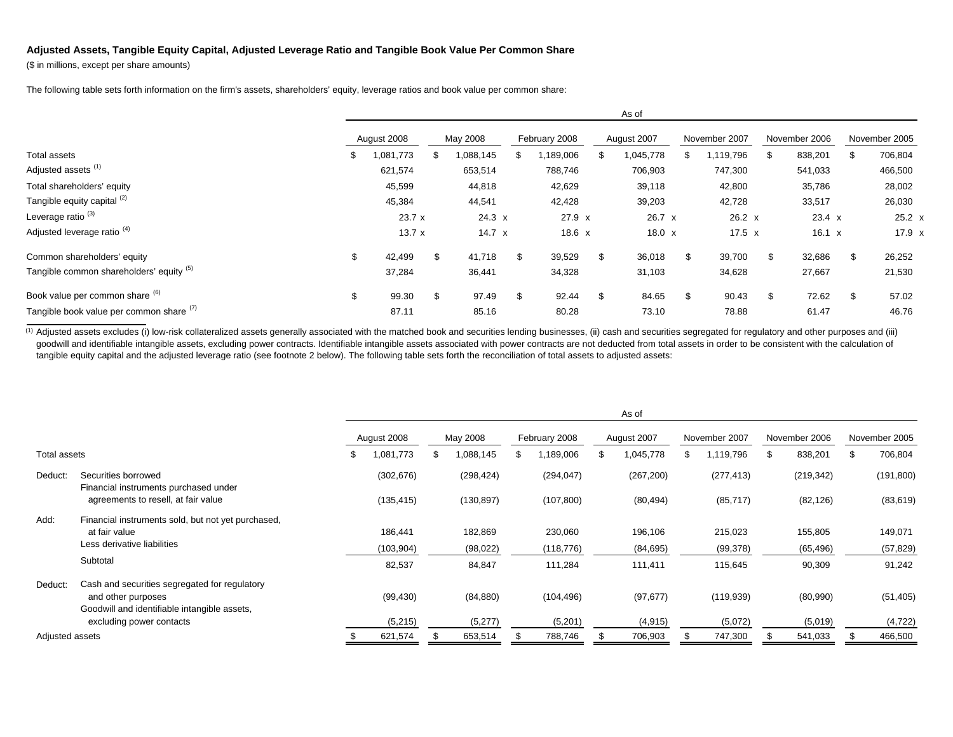## **Adjusted Assets, Tangible Equity Capital, Adjusted Leverage Ratio and Tangible Book Value Per Common Share**

(\$ in millions, except per share amounts)

The following table sets forth information on the firm's assets, shareholders' equity, leverage ratios and book value per common share:

|                                          |    |             |    |               |               | As of          |                 |               |    |               |     |               |
|------------------------------------------|----|-------------|----|---------------|---------------|----------------|-----------------|---------------|----|---------------|-----|---------------|
|                                          |    | August 2008 |    | May 2008      | February 2008 | August 2007    | November 2007   |               |    | November 2006 |     | November 2005 |
| Total assets                             | ъ. | .081,773    | S  | ,088,145      | 189,006       | 1,045,778<br>S | 1,119,796<br>ж, |               | S  | 838,201       |     | 706,804       |
| Adjusted assets <sup>(1)</sup>           |    | 621,574     |    | 653,514       | 788,746       | 706,903        | 747,300         |               |    | 541,033       |     | 466,500       |
| Total shareholders' equity               |    | 45,599      |    | 44,818        | 42,629        | 39,118         | 42,800          |               |    | 35,786        |     | 28,002        |
| Tangible equity capital (2)              |    | 45,384      |    | 44,541        | 42,428        | 39,203         | 42,728          |               |    | 33,517        |     | 26,030        |
| Leverage ratio <sup>(3)</sup>            |    | 23.7 x      |    | $24.3 \times$ | $27.9 \times$ | 26.7 x         |                 | $26.2 \times$ |    | $23.4 \times$ |     | $25.2 \times$ |
| Adjusted leverage ratio <sup>(4)</sup>   |    | 13.7x       |    | 14.7 $\times$ | $18.6 \times$ | $18.0 \times$  |                 | $17.5 \times$ |    | $16.1 \times$ |     | 17.9 x        |
| Common shareholders' equity              | \$ | 42,499      | \$ | 41,718        | \$<br>39,529  | \$<br>36,018   | \$<br>39,700    |               | \$ | 32,686        |     | 26,252        |
| Tangible common shareholders' equity (5) |    | 37,284      |    | 36,441        | 34,328        | 31,103         | 34,628          |               |    | 27,667        |     | 21,530        |
| Book value per common share (6)          | \$ | 99.30       | \$ | 97.49         | \$<br>92.44   | \$<br>84.65    | \$              | 90.43         | \$ | 72.62         | \$. | 57.02         |
| Tangible book value per common share (1) |    | 87.11       |    | 85.16         | 80.28         | 73.10          |                 | 78.88         |    | 61.47         |     | 46.76         |

(1) Adjusted assets excludes (i) low-risk collateralized assets generally associated with the matched book and securities lending businesses, (ii) cash and securities segregated for regulatory and other purposes and (iii) goodwill and identifiable intangible assets, excluding power contracts. Identifiable intangible assets associated with power contracts are not deducted from total assets in order to be consistent with the calculation of tangible equity capital and the adjusted leverage ratio (see footnote 2 below). The following table sets forth the reconciliation of total assets to adjusted assets:

|                 |                                                              |             |            |            |               |            |             | As of      |               |            |               |            |               |
|-----------------|--------------------------------------------------------------|-------------|------------|------------|---------------|------------|-------------|------------|---------------|------------|---------------|------------|---------------|
|                 |                                                              | August 2008 |            | May 2008   | February 2008 |            | August 2007 |            | November 2007 |            | November 2006 |            | November 2005 |
| Total assets    |                                                              | S           | 1,081,773  | 1,088,145  | \$.           | ,189,006   |             | 1,045,778  | ж             | 1,119,796  | £.            | 838,201    | \$<br>706,804 |
| Deduct:         | Securities borrowed<br>Financial instruments purchased under |             | (302, 676) | (298, 424) |               | (294, 047) |             | (267, 200) |               | (277, 413) |               | (219, 342) | (191, 800)    |
|                 | agreements to resell, at fair value                          |             | (135, 415) | (130, 897) |               | (107, 800) |             | (80, 494)  |               | (85, 717)  |               | (82, 126)  | (83, 619)     |
| Add:            | Financial instruments sold, but not yet purchased,           |             |            |            |               |            |             |            |               |            |               |            |               |
|                 | at fair value                                                |             | 186,441    | 182,869    |               | 230,060    |             | 196,106    |               | 215,023    |               | 155,805    | 149,071       |
|                 | Less derivative liabilities                                  |             | (103,904)  | (98, 022)  |               | (118, 776) |             | (84, 695)  |               | (99, 378)  |               | (65, 496)  | (57, 829)     |
|                 | Subtotal                                                     |             | 82,537     | 84,847     |               | 111,284    |             | 111,411    |               | 115,645    |               | 90,309     | 91,242        |
| Deduct:         | Cash and securities segregated for regulatory                |             |            |            |               |            |             |            |               |            |               |            |               |
|                 | and other purposes                                           |             | (99, 430)  | (84, 880)  |               | (104, 496) |             | (97, 677)  |               | (119, 939) |               | (80,990)   | (51, 405)     |
|                 | Goodwill and identifiable intangible assets,                 |             |            |            |               |            |             |            |               |            |               |            |               |
|                 | excluding power contacts                                     |             | (5,215)    | (5,277)    |               | (5,201)    |             | (4, 915)   |               | (5,072)    |               | (5,019)    | (4, 722)      |
| Adjusted assets |                                                              |             | 621,574    | 653,514    |               | 788,746    |             | 706,903    |               | 747,300    |               | 541,033    | 466,500       |